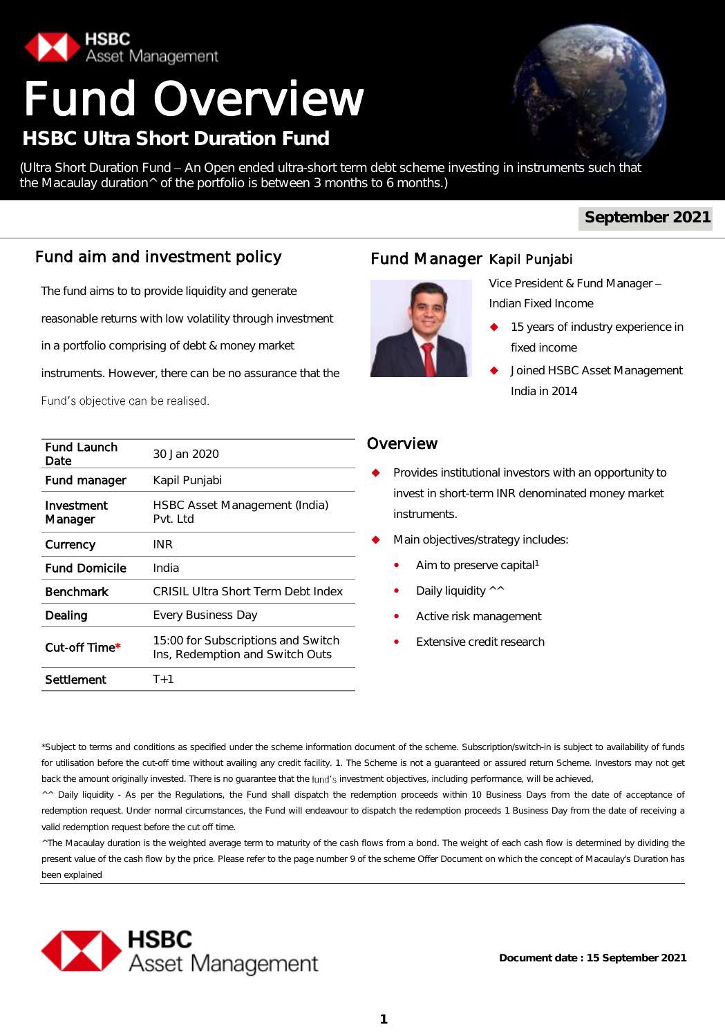

# Fund Overview

## **HSBC Ultra Short Duration Fund**

(Ultra Short Duration Fund - An Open ended ultra-short term debt scheme investing in instruments such that the Macaulay duration^ of the portfolio is between 3 months to 6 months.)

#### **September 2021**

## Fund aim and investment policy

The fund aims to to provide liquidity and generate reasonable returns with low volatility through investment

in a portfolio comprising of debt & money market

instruments. However, there can be no assurance that the

Fund's objective can be realised.

| Fund Launch<br>Date   | 30 Jan 2020                                                           |
|-----------------------|-----------------------------------------------------------------------|
| Fund manager          | Kapil Punjabi                                                         |
| Investment<br>Manager | HSBC Asset Management (India)<br>Pvt. Ltd                             |
| Currency              | INR                                                                   |
| <b>Fund Domicile</b>  | India                                                                 |
| Benchmark             | CRISIL Ultra Short Term Debt Index                                    |
| Dealing               | Every Business Day                                                    |
| Cut-off Time*         | 15:00 for Subscriptions and Switch<br>Ins, Redemption and Switch Outs |
| Settlement            | T+1                                                                   |

## Fund Manager Kapil Punjabi



Vice President & Fund Manager Indian Fixed Income

- 15 years of industry experience in fixed income
- Joined HSBC Asset Management India in 2014

#### Overview

- Provides institutional investors with an opportunity to invest in short-term INR denominated money market instruments.
- Main objectives/strategy includes:
	- Aim to preserve capital<sup>1</sup>
	- Daily liquidity ^^
	- Active risk management
	- Extensive credit research

\*Subject to terms and conditions as specified under the scheme information document of the scheme. Subscription/switch-in is subject to availability of funds for utilisation before the cut-off time without availing any credit facility. 1. The Scheme is not a guaranteed or assured return Scheme. Investors may not get back the amount originally invested. There is no guarantee that the fund's investment objectives, including performance, will be achieved,

^^ Daily liquidity - As per the Regulations, the Fund shall dispatch the redemption proceeds within 10 Business Days from the date of acceptance of redemption request. Under normal circumstances, the Fund will endeavour to dispatch the redemption proceeds 1 Business Day from the date of receiving a valid redemption request before the cut off time.

^The Macaulay duration is the weighted average term to maturity of the cash flows from a bond. The weight of each cash flow is determined by dividing the present value of the cash flow by the price. Please refer to the page number 9 of the scheme Offer Document on which the concept of Macaulay's Duration has been explained

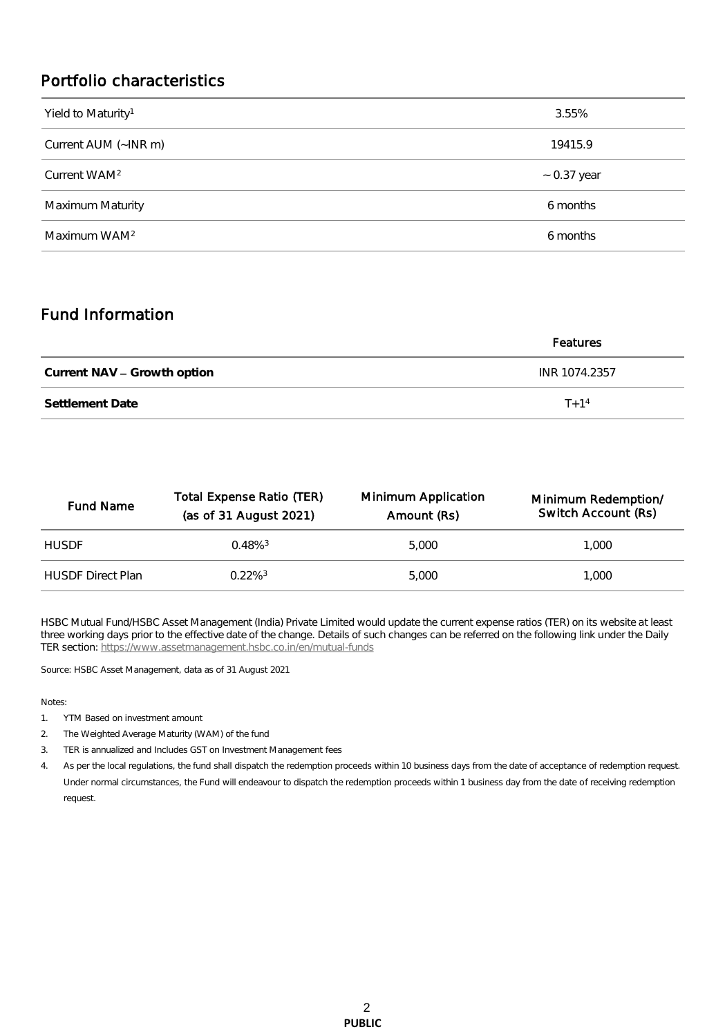### Portfolio characteristics

| 3.55%            |
|------------------|
| 19415.9          |
| $\sim$ 0.37 year |
| 6 months         |
| 6 months         |
|                  |

### Fund Information

|                             | Features      |  |  |  |  |
|-----------------------------|---------------|--|--|--|--|
| Current NAV – Growth option | INR 1074.2357 |  |  |  |  |
| Settlement Date             | $T + 1^4$     |  |  |  |  |

| <b>Fund Name</b>         | Total Expense Ratio (TER)<br>(as of 31 August 2021) | Minimum Application<br>Amount (Rs) | Minimum Redemption/<br>Switch Account (Rs) |
|--------------------------|-----------------------------------------------------|------------------------------------|--------------------------------------------|
| <b>HUSDE</b>             | $0.48\%$ <sup>3</sup>                               | 5.000                              | 1.000                                      |
| <b>HUSDE Direct Plan</b> | 0.22%3                                              | 5.000                              | 1.000                                      |

HSBC Mutual Fund/HSBC Asset Management (India) Private Limited would update the current expense ratios (TER) on its website at least three working days prior to the effective date of the change. Details of such changes can be referred on the following link under the Daily TER section:<https://www.assetmanagement.hsbc.co.in/en/mutual-funds>

Source: HSBC Asset Management, data as of 31 August 2021

Notes:

- 1. YTM Based on investment amount
- 2. The Weighted Average Maturity (WAM) of the fund
- 3. TER is annualized and Includes GST on Investment Management fees
- 4. As per the local regulations, the fund shall dispatch the redemption proceeds within 10 business days from the date of acceptance of redemption request. Under normal circumstances, the Fund will endeavour to dispatch the redemption proceeds within 1 business day from the date of receiving redemption request.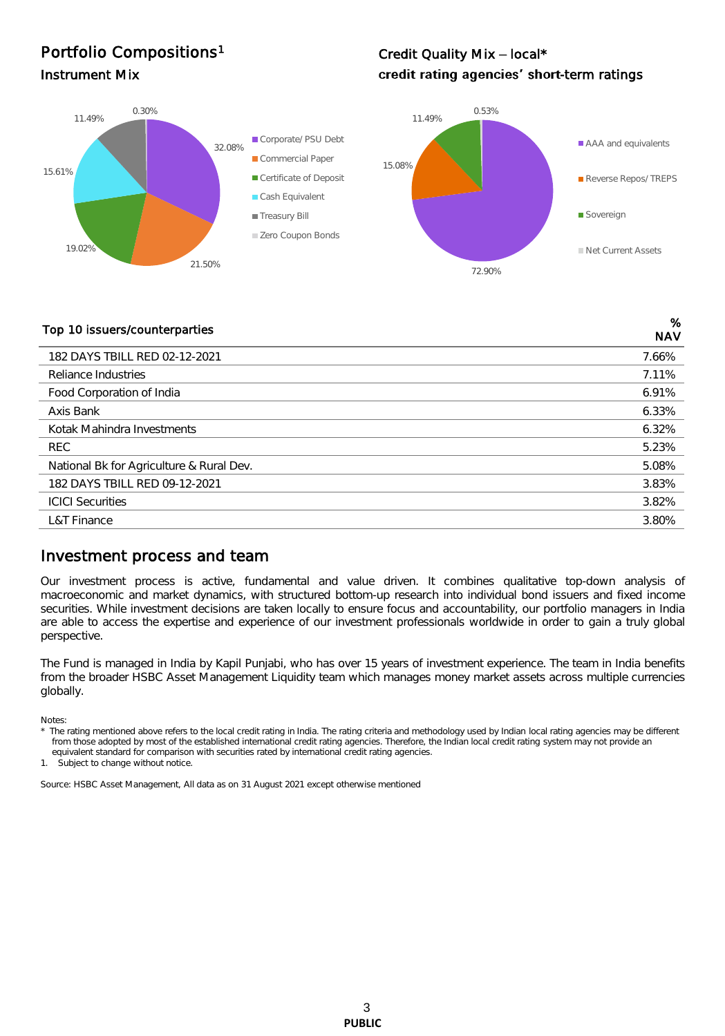## Portfolio Compositions<sup>1</sup>

#### Credit Quality Mix - local\* Instrument Mix **Instrument Mix CONSERVING CONSERVING Credit rating agencies' short-term ratings**



## Top 10 issuers/counterparties %

| TOD TO 1998019/00011101 pai tios         | <b>NAV</b> |
|------------------------------------------|------------|
| 182 DAYS TBILL RED 02-12-2021            | 7.66%      |
| Reliance Industries                      | 7.11%      |
| Food Corporation of India                | 6.91%      |
| Axis Bank                                | 6.33%      |
| Kotak Mahindra Investments               | 6.32%      |
| REC.                                     | 5.23%      |
| National Bk for Agriculture & Rural Dev. | 5.08%      |
| 182 DAYS TBILL RED 09-12-2021            | 3.83%      |
| <b>ICICI Securities</b>                  | 3.82%      |
| L&T Finance                              | 3.80%      |

#### Investment process and team

Our investment process is active, fundamental and value driven. It combines qualitative top-down analysis of macroeconomic and market dynamics, with structured bottom-up research into individual bond issuers and fixed income securities. While investment decisions are taken locally to ensure focus and accountability, our portfolio managers in India are able to access the expertise and experience of our investment professionals worldwide in order to gain a truly global perspective.

The Fund is managed in India by Kapil Punjabi, who has over 15 years of investment experience. The team in India benefits from the broader HSBC Asset Management Liquidity team which manages money market assets across multiple currencies globally.

Notes:

The rating mentioned above refers to the local credit rating in India. The rating criteria and methodology used by Indian local rating agencies may be different from those adopted by most of the established international credit rating agencies. Therefore, the Indian local credit rating system may not provide an equivalent standard for comparison with securities rated by international credit rating agencies.

1. Subject to change without notice.

Source: HSBC Asset Management, All data as on 31 August 2021 except otherwise mentioned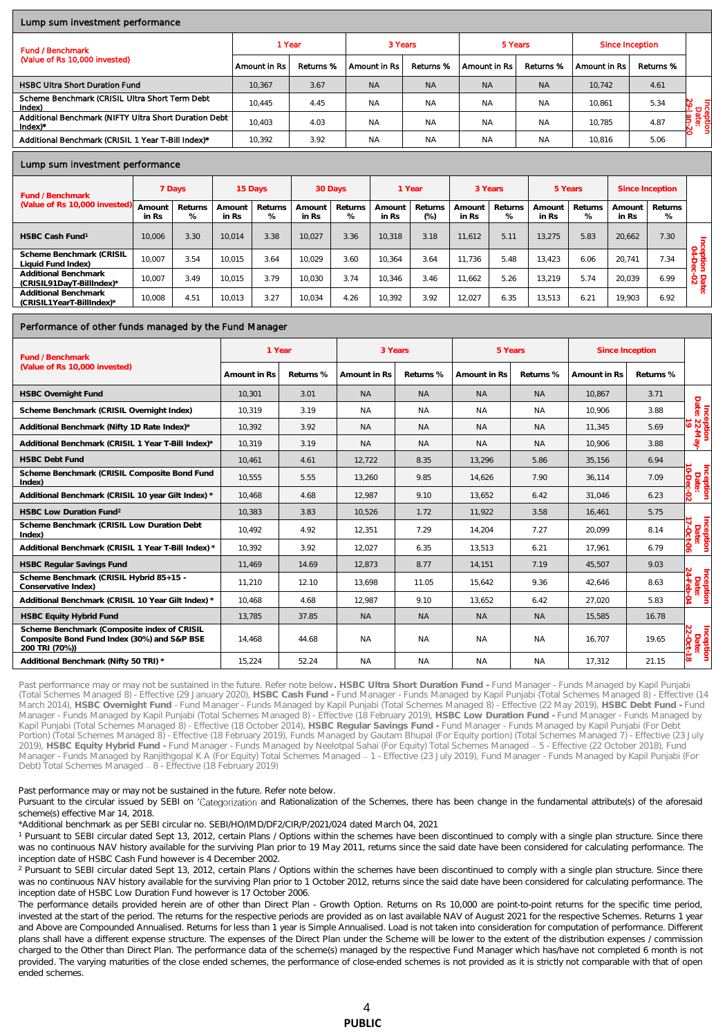#### Lump sum investment performance

| <b>Fund / Benchmark</b>                                                       | 1 Year         |           | 3 Years      |           | 5 Years      |           | Since Inception |           |                            |  |  |
|-------------------------------------------------------------------------------|----------------|-----------|--------------|-----------|--------------|-----------|-----------------|-----------|----------------------------|--|--|
| (Value of Rs 10,000 invested)                                                 | ' Amount in Rs | Returns % | Amount in Rs | Returns % | Amount in Rs | Returns % | Amount in Rs    | Returns % |                            |  |  |
| <b>HSBC Ultra Short Duration Fund</b>                                         | 10.367         | 3.67      | <b>NA</b>    | <b>NA</b> | <b>NA</b>    | <b>NA</b> | 10.742          | 4.61      |                            |  |  |
| Scheme Benchmark (CRISIL Ultra Short Term Debt<br>Index)                      | 10.445         | 4.45      | <b>NA</b>    | <b>NA</b> | <b>NA</b>    | <b>NA</b> | 10.861          | 5.34      | Inceptl<br>Date<br>29-Jan- |  |  |
| Additional Benchmark (NIFTY Ultra Short Duration Debt<br>$Index$ <sup>*</sup> | 10.403         | 4.03      | <b>NA</b>    | <b>NA</b> | <b>NA</b>    | <b>NA</b> | 10.785          | 4.87      |                            |  |  |
| Additional Benchmark (CRISIL 1 Year T-Bill Index)*                            | 10.392         | 3.92      | <b>NA</b>    | <b>NA</b> | <b>NA</b>    | <b>NA</b> | 10.816          | 5.06      |                            |  |  |

#### Lump sum investment performance

| Fund / Benchmark                                  | 7 Days                      |              | 15 Days         |              | 30 Days         |              | 1 Year          |                 | 3 Years         |              | 5 Years         |              | Since Inception |              |                |
|---------------------------------------------------|-----------------------------|--------------|-----------------|--------------|-----------------|--------------|-----------------|-----------------|-----------------|--------------|-----------------|--------------|-----------------|--------------|----------------|
| (Value of Rs 10,000 invested)                     | Amoun <sup>®</sup><br>in Rs | Returns<br>% | Amount<br>in Rs | Returns<br>% | Amount<br>in Rs | Returns<br>% | Amount<br>in Rs | Returns<br>(% ) | Amount<br>in Rs | Returns<br>% | Amount<br>in Rs | Returns<br>% | Amount<br>in Rs | Returns<br>% |                |
| HSBC Cash Fund <sup>1</sup>                       | 10.006                      | 3.30         | 10.014          | 3.38         | 10.027          | 3.36         | 10.318          | 3.18            | 11.612          | 5.11         | 13.275          | 5.83         | 20.662          | 7.30         | =              |
| Scheme Benchmark (CRISIL<br>Liquid Fund Index)    | 10.007                      | 3.54         | 10.015          | 3.64         | 10.029          | 3.60         | 10.364          | 3.64            | 11.736          | 5.48         | 13.423          | 6.06         | 20.741          | 7.34         | 94.<br>÷.<br>- |
| Additional Benchmark<br>(CRISIL91DavT-BillIndex)* | 10.007                      | 3.49         | 10.015          | 3.79         | 10.030          | 3.74         | 10.346          | 3.46            | 11.662          | 5.26         | 13.219          | 5.74         | 20.039          | 6.99         | $\frac{6}{2}$  |
| Additional Benchmark<br>(CRISIL1YearT-BillIndex)* | 10.008                      | 4.51         | 10.013          | 3.27         | 10.034          | 4.26         | 10.392          | 3.92            | 12.027          | 6.35         | 13.513          | 6.21         | 19.903          | 6.92         | ்              |

#### Performance of other funds managed by the Fund Manager

| Fund / Benchmark                                                                                             | 1 Year       |           | 3 Years      |           | 5 Years      |           | Since Inception |           |                                  |
|--------------------------------------------------------------------------------------------------------------|--------------|-----------|--------------|-----------|--------------|-----------|-----------------|-----------|----------------------------------|
| (Value of Rs 10,000 invested)                                                                                | Amount in Rs | Returns % | Amount in Rs | Returns % | Amount in Rs | Returns % | Amount in Rs    | Returns % |                                  |
| <b>HSBC Overnight Fund</b>                                                                                   | 10.301       | 3.01      | <b>NA</b>    | <b>NA</b> | <b>NA</b>    | <b>NA</b> | 10.867          | 3.71      |                                  |
| Scheme Benchmark (CRISIL Overnight Index)                                                                    | 10.319       | 3.19      | <b>NA</b>    | <b>NA</b> | <b>NA</b>    | <b>NA</b> | 10.906          | 3.88      |                                  |
| Additional Benchmark (Nifty 1D Rate Index)*                                                                  | 10.392       | 3.92      | <b>NA</b>    | <b>NA</b> | <b>NA</b>    | <b>NA</b> | 11.345          | 5.69      | Inception<br>Date: 22-May-<br>19 |
| Additional Benchmark (CRISIL 1 Year T-Bill Index)*                                                           | 10.319       | 3.19      | NA.          | <b>NA</b> | <b>NA</b>    | <b>NA</b> | 10.906          | 3.88      |                                  |
| <b>HSBC Debt Fund</b>                                                                                        | 10.461       | 4.61      | 12.722       | 8.35      | 13.296       | 5.86      | 35,156          | 6.94      |                                  |
| Scheme Benchmark (CRISIL Composite Bond Fund<br>Index)                                                       | 10,555       | 5.55      | 13.260       | 9.85      | 14.626       | 7.90      | 36.114          | 7.09      | Inception<br>Date:               |
| Additional Benchmark (CRISIL 10 year Gilt Index) *                                                           | 10.468       | 4.68      | 12.987       | 9.10      | 13,652       | 6.42      | 31,046          | 6.23      |                                  |
| HSBC Low Duration Fund <sup>2</sup>                                                                          | 10.383       | 3.83      | 10.526       | 1.72      | 11.922       | 3.58      | 16.461          | 5.75      |                                  |
| Scheme Benchmark (CRISIL Low Duration Debt<br>Index)                                                         | 10.492       | 4.92      | 12,351       | 7.29      | 14.204       | 7.27      | 20,099          | 8.14      | Inception<br>Date:               |
| Additional Benchmark (CRISIL 1 Year T-Bill Index) *                                                          | 10.392       | 3.92      | 12.027       | 6.35      | 13.513       | 6.21      | 17.961          | 6.79      | ၉                                |
| <b>HSBC Reqular Savings Fund</b>                                                                             | 11,469       | 14.69     | 12.873       | 8.77      | 14,151       | 7.19      | 45.507          | 9.03      |                                  |
| Scheme Benchmark (CRISIL Hybrid 85+15 -<br>Conservative Index)                                               | 11,210       | 12.10     | 13.698       | 11.05     | 15,642       | 9.36      | 42,646          | 8.63      | Inception<br>Date:               |
| Additional Benchmark (CRISIL 10 Year Gilt Index) *                                                           | 10.468       | 4.68      | 12.987       | 9.10      | 13.652       | 6.42      | 27.020          | 5.83      | Ŕ                                |
| <b>HSBC Equity Hybrid Fund</b>                                                                               | 13,785       | 37.85     | <b>NA</b>    | <b>NA</b> | <b>NA</b>    | <b>NA</b> | 15,585          | 16.78     |                                  |
| Scheme Benchmark (Composite index of CRISIL<br>Composite Bond Fund Index (30%) and S&P BSE<br>200 TRI (70%)) | 14.468       | 44.68     | <b>NA</b>    | <b>NA</b> | <b>NA</b>    | <b>NA</b> | 16.707          | 19.65     | Inception<br>Date:               |
| Additional Benchmark (Nifty 50 TRI) *                                                                        | 15,224       | 52.24     | <b>NA</b>    | <b>NA</b> | <b>NA</b>    | <b>NA</b> | 17,312          | 21.15     | lœ.                              |

Past performance may or may not be sustained in the future. Refer note below**. HSBC Ultra Short Duration Fund -** Fund Manager - Funds Managed by Kapil Punjabi (Total Schemes Managed 8) - Effective (29 January 2020), **HSBC Cash Fund -** Fund Manager - Funds Managed by Kapil Punjabi (Total Schemes Managed 8) - Effective (14 March 2014), HSBC Overnight Fund - Fund Manager - Funds Managed by Kapil Punjabi (Total Schemes Managed 8) - Effective (22 May 2019), HSBC Debt Fund - Fund<br>Manager - Funds Managed by Kapil Punjabi (Total Schemes Managed 8) Kapil Punjabi (Total Schemes Managed 8) - Effective (18 October 2014), **HSBC Regular Savings Fund -** Fund Manager - Funds Managed by Kapil Punjabi (For Debt Portion) (Total Schemes Managed 8) - Effective (18 February 2019), Funds Managed by Gautam Bhupal (For Equity portion) (Total Schemes Managed 7) - Effective (23 July 2019), **HSBC Equity Hybrid Fund -** Fund Manager - Funds Managed by Neelotpal Sahai (For Equity) Total Schemes Managed 5 - Effective (22 October 2018), Fund Manager - Funds Managed by Ranjithgopal K A (For Equity) Total Schemes Managed 1 - Effective (23 July 2019), Fund Manager - Funds Managed by Kapil Punjabi (For Debt) Total Schemes Managed - 8 - Effective (18 February 2019)

Past performance may or may not be sustained in the future. Refer note below.

Pursuant to the circular issued by SEBI on 'Categorization and Rationalization of the Schemes, there has been change in the fundamental attribute(s) of the aforesaid scheme(s) effective Mar 14, 2018.

\*Additional benchmark as per SEBI circular no. SEBI/HO/IMD/DF2/CIR/P/2021/024 dated March 04, 2021

<sup>1</sup> Pursuant to SEBI circular dated Sept 13, 2012, certain Plans / Options within the schemes have been discontinued to comply with a single plan structure. Since there was no continuous NAV history available for the surviving Plan prior to 19 May 2011, returns since the said date have been considered for calculating performance. The inception date of HSBC Cash Fund however is 4 December 2002.

<sup>2</sup> Pursuant to SEBI circular dated Sept 13, 2012, certain Plans / Options within the schemes have been discontinued to comply with a single plan structure. Since there was no continuous NAV history available for the surviving Plan prior to 1 October 2012, returns since the said date have been considered for calculating performance. The inception date of HSBC Low Duration Fund however is 17 October 2006.

The performance details provided herein are of other than Direct Plan - Growth Option. Returns on Rs 10,000 are point-to-point returns for the specific time period, invested at the start of the period. The returns for the respective periods are provided as on last available NAV of August 2021 for the respective Schemes. Returns 1 year and Above are Compounded Annualised. Returns for less than 1 year is Simple Annualised. Load is not taken into consideration for computation of performance. Different plans shall have a different expense structure. The expenses of the Direct Plan under the Scheme will be lower to the extent of the distribution expenses / commission charged to the Other than Direct Plan. The performance data of the scheme(s) managed by the respective Fund Manager which has/have not completed 6 month is not provided. The varying maturities of the close ended schemes, the performance of close-ended schemes is not provided as it is strictly not comparable with that of open ended schemes.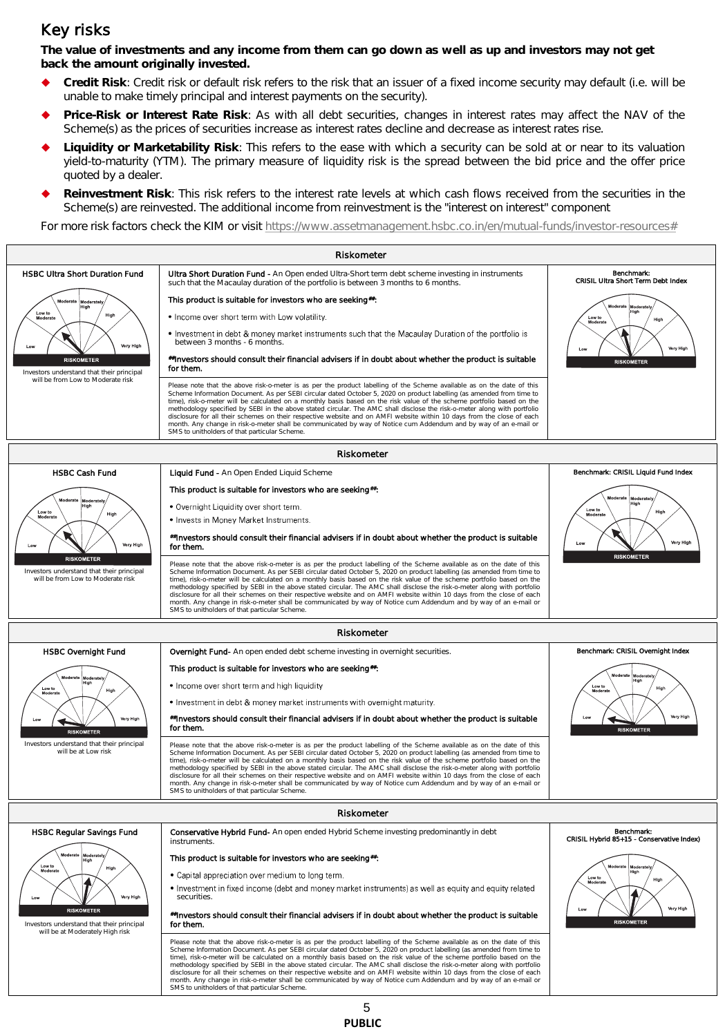#### Key risks

**The value of investments and any income from them can go down as well as up and investors may not get back the amount originally invested.** 

- **Credit Risk**: Credit risk or default risk refers to the risk that an issuer of a fixed income security may default (i.e. will be unable to make timely principal and interest payments on the security).
- **Price-Risk or Interest Rate Risk**: As with all debt securities, changes in interest rates may affect the NAV of the Scheme(s) as the prices of securities increase as interest rates decline and decrease as interest rates rise.
- **Liquidity or Marketability Risk**: This refers to the ease with which a security can be sold at or near to its valuation yield-to-maturity (YTM). The primary measure of liquidity risk is the spread between the bid price and the offer price quoted by a dealer.
- **Reinvestment Risk**: This risk refers to the interest rate levels at which cash flows received from the securities in the Scheme(s) are reinvested. The additional income from reinvestment is the "interest on interest" component

For more risk factors check the KIM or visit [https://www.assetmanagement.hsbc.co.in/en/mutual-funds/investor-resources#](https://www.assetmanagement.hsbc.co.in/en/mutual-funds/investor-resources)